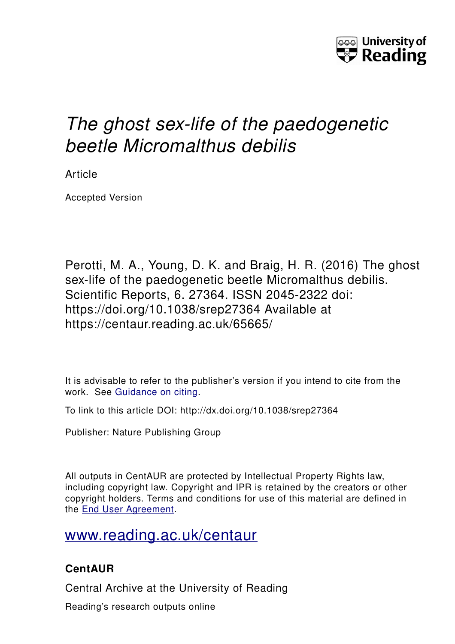

# *The ghost sex-life of the paedogenetic beetle Micromalthus debilis*

Article

Accepted Version

Perotti, M. A., Young, D. K. and Braig, H. R. (2016) The ghost sex-life of the paedogenetic beetle Micromalthus debilis. Scientific Reports, 6. 27364. ISSN 2045-2322 doi: https://doi.org/10.1038/srep27364 Available at https://centaur.reading.ac.uk/65665/

It is advisable to refer to the publisher's version if you intend to cite from the work. See [Guidance on citing.](http://centaur.reading.ac.uk/71187/10/CentAUR%20citing%20guide.pdf)

To link to this article DOI: http://dx.doi.org/10.1038/srep27364

Publisher: Nature Publishing Group

All outputs in CentAUR are protected by Intellectual Property Rights law, including copyright law. Copyright and IPR is retained by the creators or other copyright holders. Terms and conditions for use of this material are defined in the [End User Agreement.](http://centaur.reading.ac.uk/licence)

[www.reading.ac.uk/centaur](http://www.reading.ac.uk/centaur)

# **CentAUR**

Central Archive at the University of Reading

Reading's research outputs online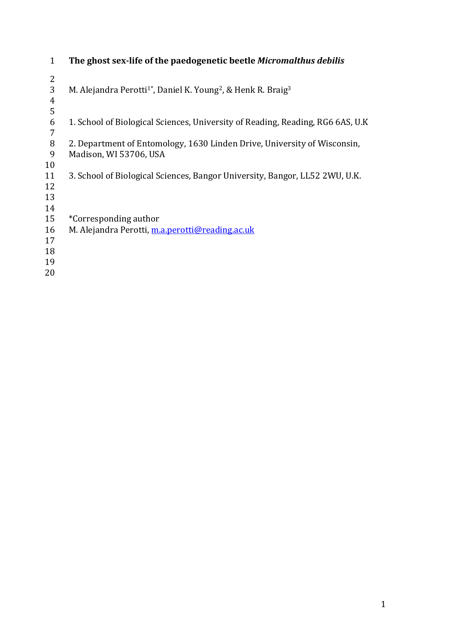| 1                                      | The ghost sex-life of the paedogenetic beetle Micromalthus debilis                                 |
|----------------------------------------|----------------------------------------------------------------------------------------------------|
| 2<br>3<br>4                            | M. Alejandra Perotti <sup>1</sup> *, Daniel K. Young <sup>2</sup> , & Henk R. Braig <sup>3</sup>   |
| 5<br>6<br>7                            | 1. School of Biological Sciences, University of Reading, Reading, RG6 6AS, U.K                     |
| 8<br>9<br>10                           | 2. Department of Entomology, 1630 Linden Drive, University of Wisconsin,<br>Madison, WI 53706, USA |
| 11<br>12<br>13                         | 3. School of Biological Sciences, Bangor University, Bangor, LL52 2WU, U.K.                        |
| 14<br>15<br>16<br>17<br>18<br>19<br>20 | *Corresponding author<br>M. Alejandra Perotti, m.a.perotti@reading.ac.uk                           |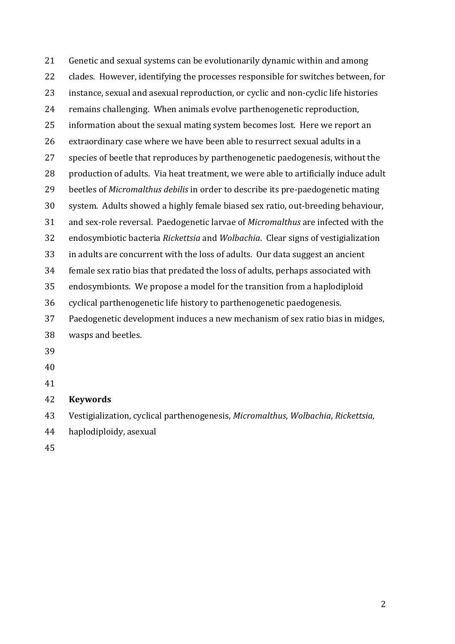| 21 | Genetic and sexual systems can be evolutionarily dynamic within and among           |
|----|-------------------------------------------------------------------------------------|
| 22 | clades. However, identifying the processes responsible for switches between, for    |
| 23 | instance, sexual and asexual reproduction, or cyclic and non-cyclic life histories  |
| 24 | remains challenging. When animals evolve parthenogenetic reproduction,              |
| 25 | information about the sexual mating system becomes lost. Here we report an          |
| 26 | extraordinary case where we have been able to resurrect sexual adults in a          |
| 27 | species of beetle that reproduces by parthenogenetic paedogenesis, without the      |
| 28 | production of adults. Via heat treatment, we were able to artificially induce adult |
| 29 | beetles of Micromalthus debilis in order to describe its pre-paedogenetic mating    |
| 30 | system. Adults showed a highly female biased sex ratio, out-breeding behaviour,     |
| 31 | and sex-role reversal. Paedogenetic larvae of Micromalthus are infected with the    |
| 32 | endosymbiotic bacteria Rickettsia and Wolbachia. Clear signs of vestigialization    |
| 33 | in adults are concurrent with the loss of adults. Our data suggest an ancient       |
| 34 | female sex ratio bias that predated the loss of adults, perhaps associated with     |
| 35 | endosymbionts. We propose a model for the transition from a haplodiploid            |
| 36 | cyclical parthenogenetic life history to parthenogenetic paedogenesis.              |
| 37 | Paedogenetic development induces a new mechanism of sex ratio bias in midges,       |
| 38 | wasps and beetles.                                                                  |
| 39 |                                                                                     |
| 40 |                                                                                     |
| 41 |                                                                                     |
| 42 | <b>Keywords</b>                                                                     |
| 43 | Vestigialization, cyclical parthenogenesis, Micromalthus, Wolbachia, Rickettsia,    |
| 44 | haplodiploidy, asexual                                                              |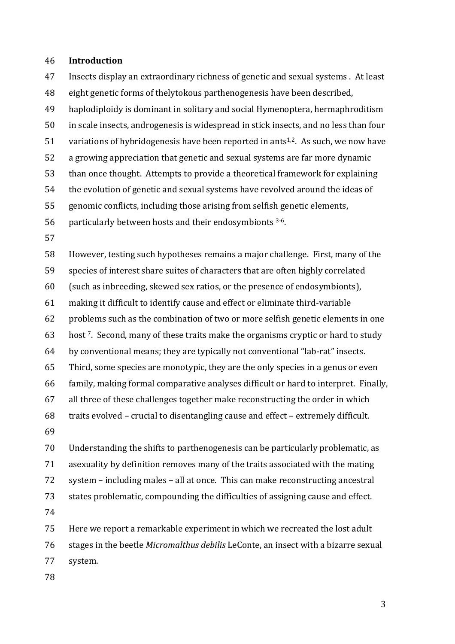#### 46 **Introduction**

47 Insects display an extraordinary richness of genetic and sexual systems . At least 48 eight genetic forms of thelytokous parthenogenesis have been described, 49 haplodiploidy is dominant in solitary and social Hymenoptera, hermaphroditism 50 in scale insects, androgenesis is widespread in stick insects, and no less than four 51 variations of hybridogenesis have been reported in ants<sup>1,2</sup>. As such, we now have 52 a growing appreciation that genetic and sexual systems are far more dynamic 53 than once thought. Attempts to provide a theoretical framework for explaining 54 the evolution of genetic and sexual systems have revolved around the ideas of 55 genomic conflicts, including those arising from selfish genetic elements, 56 particularly between hosts and their endosymbionts  $3-6$ . 57

58 However, testing such hypotheses remains a major challenge. First, many of the 59 species of interest share suites of characters that are often highly correlated 60 (such as inbreeding, skewed sex ratios, or the presence of endosymbionts), 61 making it difficult to identify cause and effect or eliminate third-variable 62 problems such as the combination of two or more selfish genetic elements in one 63 host <sup>7</sup>. Second, many of these traits make the organisms cryptic or hard to study  $64$  by conventional means; they are typically not conventional "lab-rat" insects. 65 Third, some species are monotypic, they are the only species in a genus or even 66 family, making formal comparative analyses difficult or hard to interpret. Finally,  $67$  all three of these challenges together make reconstructing the order in which 68 traits evolved - crucial to disentangling cause and effect - extremely difficult. 69

70 Understanding the shifts to parthenogenesis can be particularly problematic, as 71 asexuality by definition removes many of the traits associated with the mating 72 system – including males – all at once. This can make reconstructing ancestral 73 states problematic, compounding the difficulties of assigning cause and effect. 74

75 Here we report a remarkable experiment in which we recreated the lost adult 76 stages in the beetle *Micromalthus debilis* LeConte, an insect with a bizarre sexual 77 system.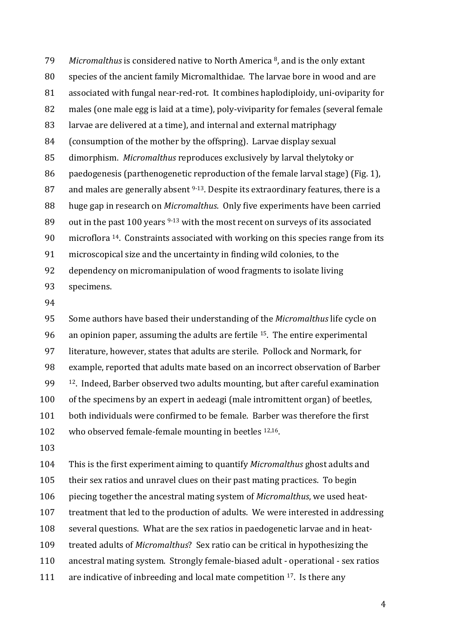79 *Micromalthus* is considered native to North America <sup>8</sup>, and is the only extant 80 species of the ancient family Micromalthidae. The larvae bore in wood and are 81 associated with fungal near-red-rot. It combines haplodiploidy, uni-oviparity for 82 males (one male egg is laid at a time), poly-viviparity for females (several female 83 larvae are delivered at a time), and internal and external matriphagy 84 (consumption of the mother by the offspring). Larvae display sexual 85 dimorphism. *Micromalthus* reproduces exclusively by larval thelytoky or 86 paedogenesis (parthenogenetic reproduction of the female larval stage) (Fig. 1), 87 and males are generally absent  $9-13$ . Despite its extraordinary features, there is a 88 huge gap in research on *Micromalthus*. Only five experiments have been carried 89 out in the past 100 years  $9-13$  with the most recent on surveys of its associated 90  $\mu$  microflora <sup>14</sup>. Constraints associated with working on this species range from its 91 microscopical size and the uncertainty in finding wild colonies, to the 92 dependency on micromanipulation of wood fragments to isolate living 93 specimens.

94

95 Some authors have based their understanding of the *Micromalthus* life cycle on 96 an opinion paper, assuming the adults are fertile  $15$ . The entire experimental 97 literature, however, states that adults are sterile. Pollock and Normark, for 98 example, reported that adults mate based on an incorrect observation of Barber  $99$   $12$ . Indeed, Barber observed two adults mounting, but after careful examination 100 of the specimens by an expert in aedeagi (male intromittent organ) of beetles, 101 both individuals were confirmed to be female. Barber was therefore the first 102 who observed female-female mounting in beetles  $12,16$ .

103

104 This is the first experiment aiming to quantify *Micromalthus* ghost adults and 105 their sex ratios and unravel clues on their past mating practices. To begin 106 piecing together the ancestral mating system of *Micromalthus*, we used heat-107 treatment that led to the production of adults. We were interested in addressing 108 several questions. What are the sex ratios in paedogenetic larvae and in heat-109 treated adults of *Micromalthus*? Sex ratio can be critical in hypothesizing the 110 ancestral mating system. Strongly female-biased adult - operational - sex ratios 111 are indicative of inbreeding and local mate competition  $17$ . Is there any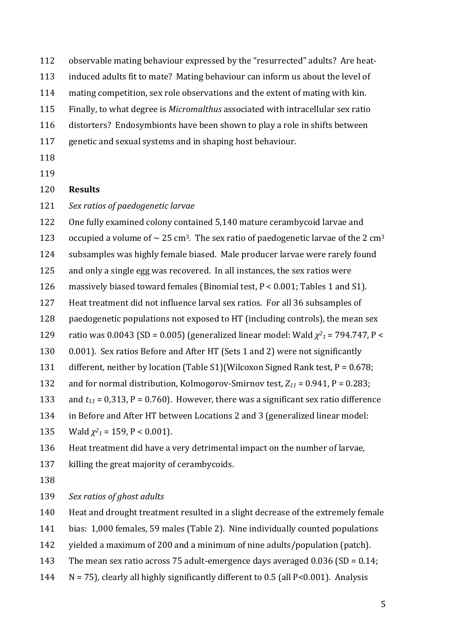112 observable mating behaviour expressed by the "resurrected" adults? Are heat-

- 113 induced adults fit to mate? Mating behaviour can inform us about the level of
- 114 mating competition, sex role observations and the extent of mating with kin.
- 115 Finally, to what degree is *Micromalthus* associated with intracellular sex ratio
- 116 distorters? Endosymbionts have been shown to play a role in shifts between
- 117 genetic and sexual systems and in shaping host behaviour.
- 118
- 119

#### 120 **Results**

121 Sex ratios of paedogenetic larvae

122 One fully examined colony contained 5,140 mature cerambycoid larvae and

123 occupied a volume of  $\sim$  25 cm<sup>3</sup>. The sex ratio of paedogenetic larvae of the 2 cm<sup>3</sup>

124 subsamples was highly female biased. Male producer larvae were rarely found

- 125 and only a single egg was recovered. In all instances, the sex ratios were
- 126 massively biased toward females (Binomial test,  $P < 0.001$ ; Tables 1 and S1).
- 127 Heat treatment did not influence larval sex ratios. For all 36 subsamples of
- 128 paedogenetic populations not exposed to HT (including controls), the mean sex
- 129 ratio was 0.0043 (SD = 0.005) (generalized linear model: Wald  $\chi^2$ <sub>1</sub> = 794.747, P <
- 130 0.001). Sex ratios Before and After HT (Sets 1 and 2) were not significantly
- 131 different, neither by location (Table S1)(Wilcoxon Signed Rank test,  $P = 0.678$ ;
- 132 and for normal distribution, Kolmogorov-Smirnov test,  $Z_{11} = 0.941$ , P = 0.283;
- 133 and  $t_{11}$  = 0,313, P = 0.760). However, there was a significant sex ratio difference
- 134 in Before and After HT between Locations 2 and 3 (generalized linear model:
- 135 *Wald*  $\chi^2$ <sub>1</sub> = 159, P < 0.001).

136 Heat treatment did have a very detrimental impact on the number of larvae,

- 137 killing the great majority of cerambycoids.
- 138

139 *Sex ratios of ghost adults* 

140 Heat and drought treatment resulted in a slight decrease of the extremely female

- 141 bias: 1,000 females, 59 males (Table 2). Nine individually counted populations
- 142 yielded a maximum of 200 and a minimum of nine adults/population (patch).
- 143 The mean sex ratio across 75 adult-emergence days averaged  $0.036$  (SD =  $0.14$ ;
- 144  $N = 75$ ), clearly all highly significantly different to 0.5 (all P<0.001). Analysis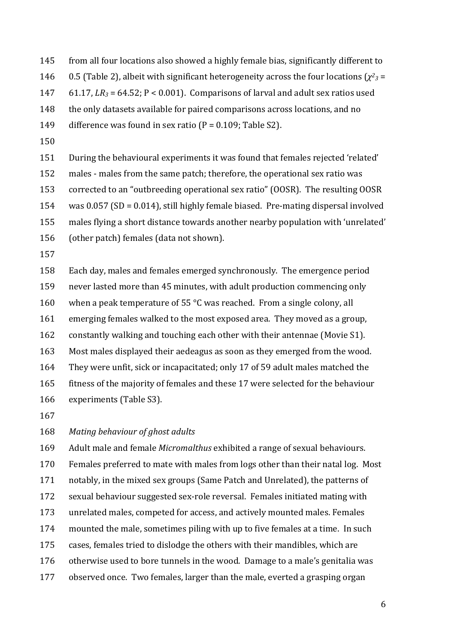- 145 from all four locations also showed a highly female bias, significantly different to 146 0.5 (Table 2), albeit with significant heterogeneity across the four locations  $(\chi^2)_3$  = 147 61.17,  $LR_3 = 64.52$ ;  $P < 0.001$ ). Comparisons of larval and adult sex ratios used 148 the only datasets available for paired comparisons across locations, and no 149 difference was found in sex ratio  $(P = 0.109;$  Table S2).
- 150

151 During the behavioural experiments it was found that females rejected 'related'

152 males - males from the same patch; therefore, the operational sex ratio was

153 corrected to an "outbreeding operational sex ratio" (OOSR). The resulting OOSR

 $154$  was  $0.057$  (SD = 0.014), still highly female biased. Pre-mating dispersal involved

155 males flying a short distance towards another nearby population with 'unrelated'

- 156 (other patch) females (data not shown).
- 157

158 Each day, males and females emerged synchronously. The emergence period 159 never lasted more than 45 minutes, with adult production commencing only 160 when a peak temperature of 55  $\degree$ C was reached. From a single colony, all 161 emerging females walked to the most exposed area. They moved as a group, 162 constantly walking and touching each other with their antennae (Movie S1). 163 Most males displayed their aedeagus as soon as they emerged from the wood. 164 They were unfit, sick or incapacitated; only 17 of 59 adult males matched the 165 fitness of the majority of females and these 17 were selected for the behaviour 166 experiments (Table S3).

167

168 Mating behaviour of ghost adults

169 Adult male and female *Micromalthus* exhibited a range of sexual behaviours. 170 Females preferred to mate with males from logs other than their natal log. Most 171 notably, in the mixed sex groups (Same Patch and Unrelated), the patterns of 172 sexual behaviour suggested sex-role reversal. Females initiated mating with 173 unrelated males, competed for access, and actively mounted males. Females 174 mounted the male, sometimes piling with up to five females at a time. In such 175 cases, females tried to dislodge the others with their mandibles, which are 176 otherwise used to bore tunnels in the wood. Damage to a male's genitalia was 177 observed once. Two females, larger than the male, everted a grasping organ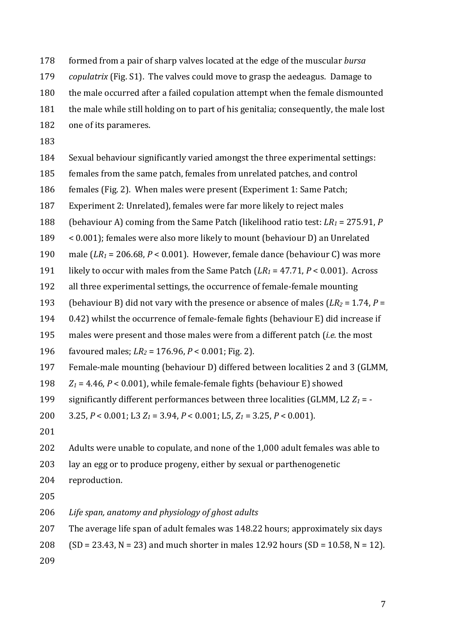178 formed from a pair of sharp valves located at the edge of the muscular *bursa* 

179 *copulatrix* (Fig. S1). The valves could move to grasp the aedeagus. Damage to

180 the male occurred after a failed copulation attempt when the female dismounted

- 181 the male while still holding on to part of his genitalia; consequently, the male lost
- 182 one of its parameres.
- 183

184 Sexual behaviour significantly varied amongst the three experimental settings:

185 females from the same patch, females from unrelated patches, and control

186 females (Fig. 2). When males were present (Experiment 1: Same Patch;

187 Experiment 2: Unrelated), females were far more likely to reject males

188 (behaviour A) coming from the Same Patch (likelihood ratio test:  $LR_1 = 275.91$ , *P* 

 $189 \times 0.001$ ; females were also more likely to mount (behaviour D) an Unrelated

190 male  $(LR_1 = 206.68, P < 0.001)$ . However, female dance (behaviour C) was more

191 likely to occur with males from the Same Patch  $(LR_1 = 47.71, P < 0.001)$ . Across

192 all three experimental settings, the occurrence of female-female mounting

193 (behaviour B) did not vary with the presence or absence of males  $(LR_2 = 1.74, P =$ 

194 0.42) whilst the occurrence of female-female fights (behaviour E) did increase if

195 males were present and those males were from a different patch (*i.e.* the most

196 favoured males;  $LR_2 = 176.96$ ,  $P < 0.001$ ; Fig. 2).

197 Female-male mounting (behaviour D) differed between localities 2 and 3 (GLMM,

198  $Z_1 = 4.46$ ,  $P < 0.001$ ), while female-female fights (behaviour E) showed

199 significantly different performances between three localities (GLMM, L2  $Z_1$  =  $-$ 

200  $3.25, P < 0.001$ ; L3  $Z_1 = 3.94, P < 0.001$ ; L5,  $Z_1 = 3.25, P < 0.001$ .

201

202 Adults were unable to copulate, and none of the 1,000 adult females was able to

203 lay an egg or to produce progeny, either by sexual or parthenogenetic

204 reproduction.

205

206 Life span, anatomy and physiology of ghost adults

207 The average life span of adult females was 148.22 hours; approximately six days

208 (SD = 23.43, N = 23) and much shorter in males 12.92 hours (SD = 10.58, N = 12).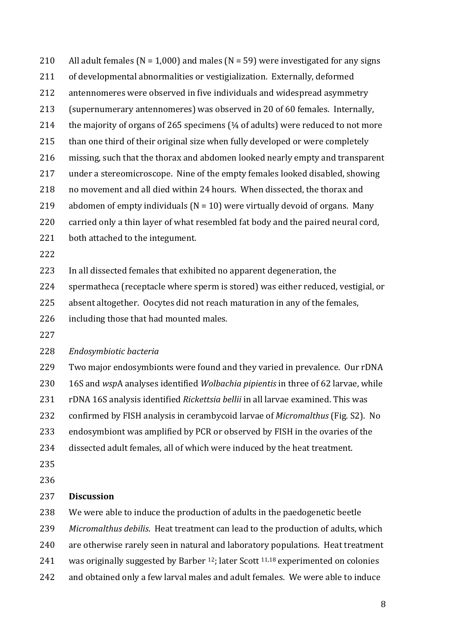210 All adult females ( $N = 1,000$ ) and males ( $N = 59$ ) were investigated for any signs 211 of developmental abnormalities or vestigialization. Externally, deformed 212 antennomeres were observed in five individuals and widespread asymmetry 213 (supernumerary antennomeres) was observed in 20 of 60 females. Internally, 214 the majority of organs of 265 specimens  $(4/4)$  of adults) were reduced to not more 215 than one third of their original size when fully developed or were completely 216 missing, such that the thorax and abdomen looked nearly empty and transparent 217 under a stereomicroscope. Nine of the empty females looked disabled, showing 218 no movement and all died within 24 hours. When dissected, the thorax and 219 abdomen of empty individuals  $(N = 10)$  were virtually devoid of organs. Many 220 carried only a thin layer of what resembled fat body and the paired neural cord, 221 both attached to the integument. 222 223 In all dissected females that exhibited no apparent degeneration, the 224 spermatheca (receptacle where sperm is stored) was either reduced, vestigial, or 225 absent altogether. Oocytes did not reach maturation in any of the females, 226 including those that had mounted males. 227 228 *Endosymbiotic bacteria* 229 Two major endosymbionts were found and they varied in prevalence. Our rDNA 230 16S and *wspA* analyses identified *Wolbachia pipientis* in three of 62 larvae, while 231 rDNA 16S analysis identified *Rickettsia bellii* in all larvae examined. This was 232 confirmed by FISH analysis in cerambycoid larvae of *Micromalthus* (Fig. S2). No 233 endosymbiont was amplified by PCR or observed by FISH in the ovaries of the 234 dissected adult females, all of which were induced by the heat treatment. 235 236 237 **Discussion** 238 We were able to induce the production of adults in the paedogenetic beetle 239 Micromalthus debilis. Heat treatment can lead to the production of adults, which 240 are otherwise rarely seen in natural and laboratory populations. Heat treatment 241 was originally suggested by Barber  $12$ ; later Scott  $11,18$  experimented on colonies

242 and obtained only a few larval males and adult females. We were able to induce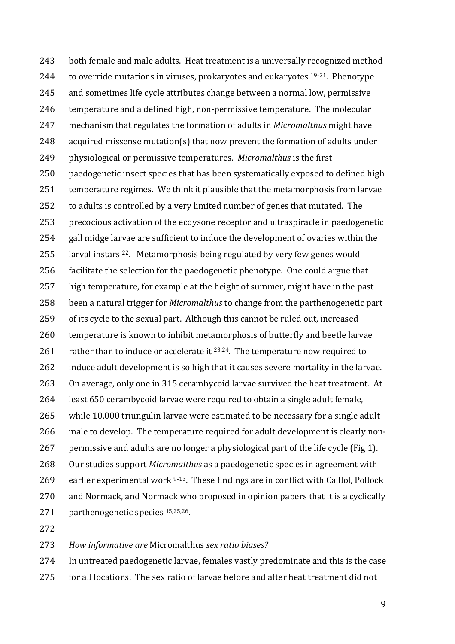243 both female and male adults. Heat treatment is a universally recognized method 244 to override mutations in viruses, prokaryotes and eukaryotes  $19-21$ . Phenotype 245 and sometimes life cycle attributes change between a normal low, permissive 246 temperature and a defined high, non-permissive temperature. The molecular 247 mechanism that regulates the formation of adults in *Micromalthus* might have 248 acquired missense mutation(s) that now prevent the formation of adults under 249 physiological or permissive temperatures. *Micromalthus* is the first 250 paedogenetic insect species that has been systematically exposed to defined high 251 temperature regimes. We think it plausible that the metamorphosis from larvae 252 to adults is controlled by a very limited number of genes that mutated. The 253 precocious activation of the ecdysone receptor and ultraspiracle in paedogenetic 254 gall midge larvae are sufficient to induce the development of ovaries within the 255 larval instars  $22$ . Metamorphosis being regulated by very few genes would 256 facilitate the selection for the paedogenetic phenotype. One could argue that 257 high temperature, for example at the height of summer, might have in the past 258 been a natural trigger for *Micromalthus* to change from the parthenogenetic part 259 of its cycle to the sexual part. Although this cannot be ruled out, increased 260 temperature is known to inhibit metamorphosis of butterfly and beetle larvae 261 rather than to induce or accelerate it  $23,24$ . The temperature now required to 262 induce adult development is so high that it causes severe mortality in the larvae. 263 On average, only one in 315 cerambycoid larvae survived the heat treatment. At 264 least 650 cerambycoid larvae were required to obtain a single adult female, 265 while 10,000 triungulin larvae were estimated to be necessary for a single adult 266 male to develop. The temperature required for adult development is clearly non-267 permissive and adults are no longer a physiological part of the life cycle (Fig 1). 268 Our studies support *Micromalthus* as a paedogenetic species in agreement with 269 earlier experimental work  $9-13$ . These findings are in conflict with Caillol, Pollock 270 and Normack, and Normack who proposed in opinion papers that it is a cyclically 271 parthenogenetic species  $15,25,26$ .

272

273 *How informative are* Micromalthus *sex ratio biases?*

274 In untreated paedogenetic larvae, females vastly predominate and this is the case

275 for all locations. The sex ratio of larvae before and after heat treatment did not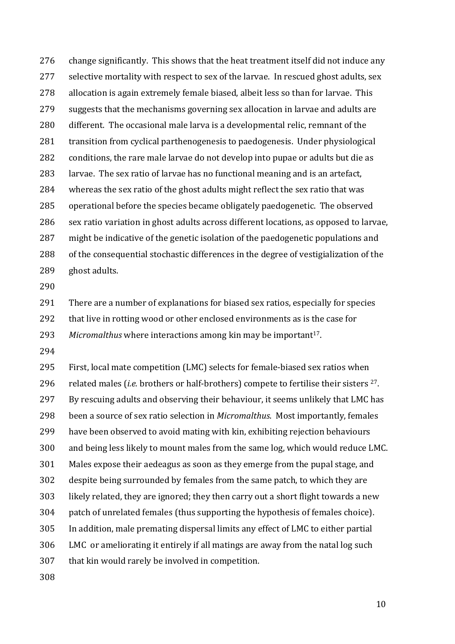276 change significantly. This shows that the heat treatment itself did not induce any 277 selective mortality with respect to sex of the larvae. In rescued ghost adults, sex 278 allocation is again extremely female biased, albeit less so than for larvae. This 279 suggests that the mechanisms governing sex allocation in larvae and adults are 280 different. The occasional male larva is a developmental relic, remnant of the 281 transition from cyclical parthenogenesis to paedogenesis. Under physiological 282 conditions, the rare male larvae do not develop into pupae or adults but die as 283 larvae. The sex ratio of larvae has no functional meaning and is an artefact, 284 whereas the sex ratio of the ghost adults might reflect the sex ratio that was 285 operational before the species became obligately paedogenetic. The observed 286 sex ratio variation in ghost adults across different locations, as opposed to larvae, 287 might be indicative of the genetic isolation of the paedogenetic populations and 288 of the consequential stochastic differences in the degree of vestigialization of the 289 ghost adults.

290

291 There are a number of explanations for biased sex ratios, especially for species 292 that live in rotting wood or other enclosed environments as is the case for

293 Micromalthus where interactions among kin may be important<sup>17</sup>.

294

295 First, local mate competition (LMC) selects for female-biased sex ratios when 296 related males (*i.e.* brothers or half-brothers) compete to fertilise their sisters <sup>27</sup>. 297 By rescuing adults and observing their behaviour, it seems unlikely that LMC has 298 been a source of sex ratio selection in *Micromalthus*. Most importantly, females 299 have been observed to avoid mating with kin, exhibiting rejection behaviours 300 and being less likely to mount males from the same log, which would reduce LMC. 301 Males expose their aedeagus as soon as they emerge from the pupal stage, and 302 despite being surrounded by females from the same patch, to which they are 303 likely related, they are ignored; they then carry out a short flight towards a new 304 patch of unrelated females (thus supporting the hypothesis of females choice). 305 In addition, male premating dispersal limits any effect of LMC to either partial 306 LMC or ameliorating it entirely if all matings are away from the natal log such 307 that kin would rarely be involved in competition.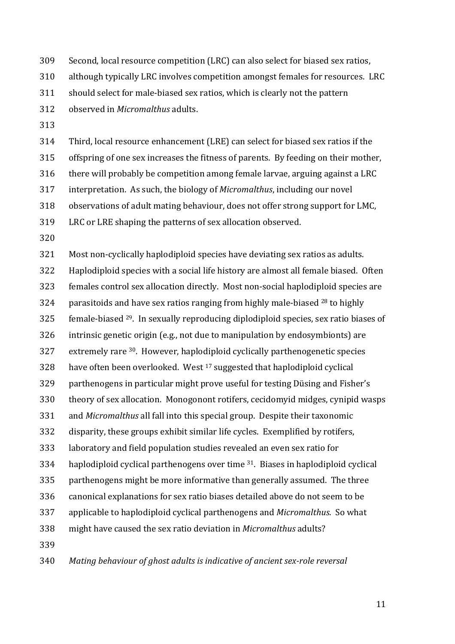309 Second, local resource competition (LRC) can also select for biased sex ratios,

310 although typically LRC involves competition amongst females for resources. LRC

311 should select for male-biased sex ratios, which is clearly not the pattern

312 observed in *Micromalthus* adults.

313

314 Third, local resource enhancement (LRE) can select for biased sex ratios if the

315 offspring of one sex increases the fitness of parents. By feeding on their mother,

 $316$  there will probably be competition among female larvae, arguing against a LRC

317 interpretation. As such, the biology of *Micromalthus*, including our novel

318 observations of adult mating behaviour, does not offer strong support for LMC,

319 LRC or LRE shaping the patterns of sex allocation observed.

320

321 Most non-cyclically haplodiploid species have deviating sex ratios as adults. 322 Haplodiploid species with a social life history are almost all female biased. Often 323 females control sex allocation directly. Most non-social haplodiploid species are 324 parasitoids and have sex ratios ranging from highly male-biased  $^{28}$  to highly  $325$  female-biased  $29$ . In sexually reproducing diplodiploid species, sex ratio biases of 326 intrinsic genetic origin (e.g., not due to manipulation by endosymbionts) are  $327$  extremely rare  $30$ . However, haplodiploid cyclically parthenogenetic species  $328$  have often been overlooked. West  $17$  suggested that haplodiploid cyclical 329 parthenogens in particular might prove useful for testing Düsing and Fisher's 330 theory of sex allocation. Monogonont rotifers, cecidomyid midges, cynipid wasps 331 and *Micromalthus* all fall into this special group. Despite their taxonomic 332 disparity, these groups exhibit similar life cycles. Exemplified by rotifers, 333 laboratory and field population studies revealed an even sex ratio for 334 haplodiploid cyclical parthenogens over time  $31$ . Biases in haplodiploid cyclical 335 parthenogens might be more informative than generally assumed. The three 336 canonical explanations for sex ratio biases detailed above do not seem to be 337 applicable to haplodiploid cyclical parthenogens and *Micromalthus*. So what 338 might have caused the sex ratio deviation in *Micromalthus* adults? 339

340 Mating behaviour of ghost adults is indicative of ancient sex-role reversal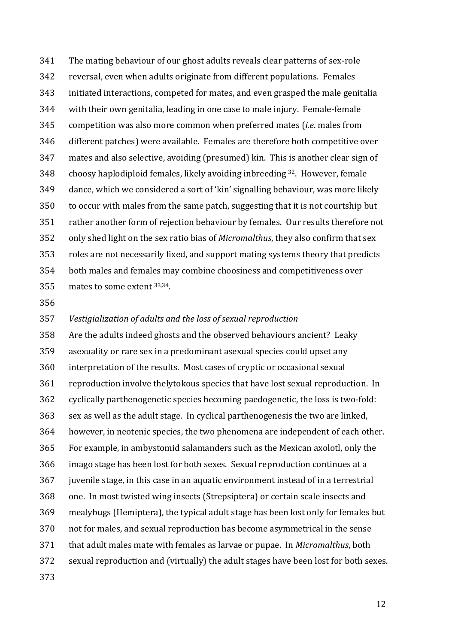341 The mating behaviour of our ghost adults reveals clear patterns of sex-role 342 reversal, even when adults originate from different populations. Females 343 initiated interactions, competed for mates, and even grasped the male genitalia 344 with their own genitalia, leading in one case to male injury. Female-female 345 competition was also more common when preferred mates (*i.e.* males from 346 different patches) were available. Females are therefore both competitive over 347 mates and also selective, avoiding (presumed) kin. This is another clear sign of 348 choosy haplodiploid females, likely avoiding inbreeding  $32$ . However, female 349 dance, which we considered a sort of 'kin' signalling behaviour, was more likely 350 to occur with males from the same patch, suggesting that it is not courtship but 351 rather another form of rejection behaviour by females. Our results therefore not 352 only shed light on the sex ratio bias of *Micromalthus*, they also confirm that sex 353 roles are not necessarily fixed, and support mating systems theory that predicts 354 both males and females may combine choosiness and competitiveness over 355 mates to some extent  $33,34$ .

356

#### 357 *Vestigialization of adults and the loss of sexual reproduction*

358 Are the adults indeed ghosts and the observed behaviours ancient? Leaky 359 asexuality or rare sex in a predominant asexual species could upset any 360 interpretation of the results. Most cases of cryptic or occasional sexual 361 reproduction involve thelytokous species that have lost sexual reproduction. In 362 cyclically parthenogenetic species becoming paedogenetic, the loss is two-fold: 363 sex as well as the adult stage. In cyclical parthenogenesis the two are linked, 364 however, in neotenic species, the two phenomena are independent of each other. 365 For example, in ambystomid salamanders such as the Mexican axolotl, only the 366 imago stage has been lost for both sexes. Sexual reproduction continues at a 367 juvenile stage, in this case in an aquatic environment instead of in a terrestrial 368 one. In most twisted wing insects (Strepsiptera) or certain scale insects and 369 mealybugs (Hemiptera), the typical adult stage has been lost only for females but 370 not for males, and sexual reproduction has become asymmetrical in the sense 371 that adult males mate with females as larvae or pupae. In *Micromalthus*, both 372 sexual reproduction and (virtually) the adult stages have been lost for both sexes. 373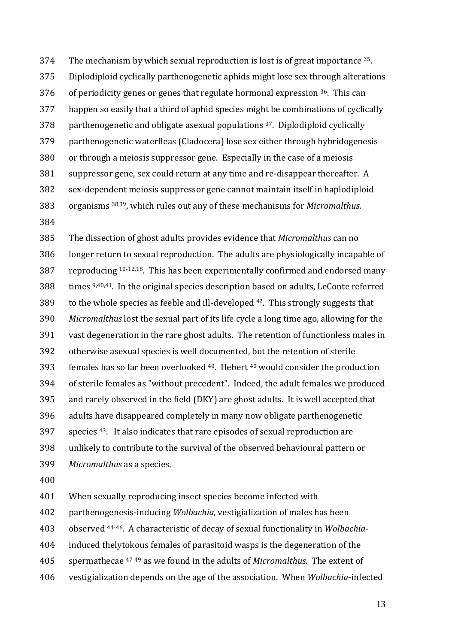374 The mechanism by which sexual reproduction is lost is of great importance  $35$ . 375 Diplodiploid cyclically parthenogenetic aphids might lose sex through alterations 376 of periodicity genes or genes that regulate hormonal expression  $36$ . This can 377 happen so easily that a third of aphid species might be combinations of cyclically 378 parthenogenetic and obligate asexual populations  $37$ . Diplodiploid cyclically 379 parthenogenetic waterfleas (Cladocera) lose sex either through hybridogenesis 380 or through a meiosis suppressor gene. Especially in the case of a meiosis 381 suppressor gene, sex could return at any time and re-disappear thereafter. A 382 sex-dependent meiosis suppressor gene cannot maintain itself in haplodiploid 383 organisms <sup>38,39</sup>, which rules out any of these mechanisms for *Micromalthus*.

384

385 The dissection of ghost adults provides evidence that *Micromalthus* can no 386 longer return to sexual reproduction. The adults are physiologically incapable of 387 reproducing  $10-12,18$ . This has been experimentally confirmed and endorsed many  $388$  times  $9,40,41$ . In the original species description based on adults, LeConte referred 389 to the whole species as feeble and ill-developed  $42$ . This strongly suggests that 390 *Micromalthus* lost the sexual part of its life cycle a long time ago, allowing for the 391 vast degeneration in the rare ghost adults. The retention of functionless males in 392 otherwise asexual species is well documented, but the retention of sterile 393 females has so far been overlooked  $40$ . Hebert  $40$  would consider the production 394 of sterile females as "without precedent". Indeed, the adult females we produced 395 and rarely observed in the field (DKY) are ghost adults. It is well accepted that 396 adults have disappeared completely in many now obligate parthenogenetic  $397$  species  $43$ . It also indicates that rare episodes of sexual reproduction are 398 unlikely to contribute to the survival of the observed behavioural pattern or 399 Micromalthus as a species.

400

401 When sexually reproducing insect species become infected with

402 parthenogenesis-inducing *Wolbachia*, vestigialization of males has been

403 observed <sup>44-46</sup>. A characteristic of decay of sexual functionality in *Wolbachia-*

- 404 induced thelytokous females of parasitoid wasps is the degeneration of the
- 405 spermathecae <sup>47-49</sup> as we found in the adults of *Micromalthus*. The extent of
- 406 vestigialization depends on the age of the association. When *Wolbachia*-infected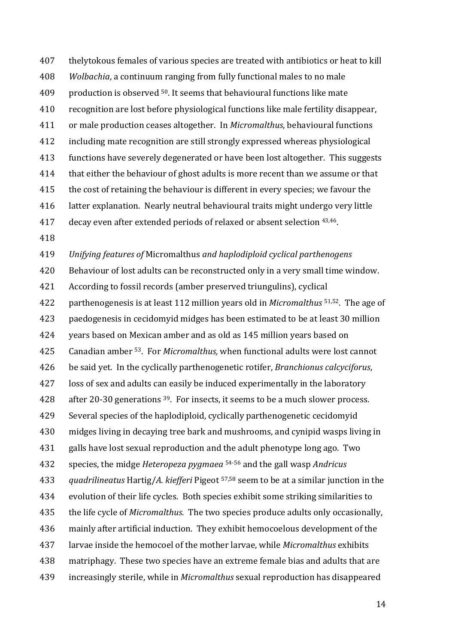407 thelytokous females of various species are treated with antibiotics or heat to kill 408 *Wolbachia*, a continuum ranging from fully functional males to no male  $409$  production is observed <sup>50</sup>. It seems that behavioural functions like mate 410 recognition are lost before physiological functions like male fertility disappear, 411 or male production ceases altogether. In *Micromalthus*, behavioural functions 412 including mate recognition are still strongly expressed whereas physiological 413 functions have severely degenerated or have been lost altogether. This suggests 414 that either the behaviour of ghost adults is more recent than we assume or that 415 the cost of retaining the behaviour is different in every species; we favour the 416 latter explanation. Nearly neutral behavioural traits might undergo very little 417 decay even after extended periods of relaxed or absent selection <sup>43,46</sup>.

418

419 *Unifying features of* Micromalthus *and haplodiploid cyclical parthenogens*

420 Behaviour of lost adults can be reconstructed only in a very small time window. 421 According to fossil records (amber preserved triungulins), cyclical 422 parthenogenesis is at least 112 million years old in *Micromalthus* <sup>51,52</sup>. The age of 423 paedogenesis in cecidomyid midges has been estimated to be at least 30 million 424 vears based on Mexican amber and as old as 145 million years based on 425 Canadian amber <sup>53</sup>. For *Micromalthus*, when functional adults were lost cannot 426 be said yet. In the cyclically parthenogenetic rotifer, *Branchionus calcyciforus*, 427 loss of sex and adults can easily be induced experimentally in the laboratory 428 after 20-30 generations  $39$ . For insects, it seems to be a much slower process. 429 Several species of the haplodiploid, cyclically parthenogenetic cecidomyid 430 midges living in decaying tree bark and mushrooms, and cynipid wasps living in 431 galls have lost sexual reproduction and the adult phenotype long ago. Two 432 species, the midge *Heteropeza pygmaea* <sup>54-56</sup> and the gall wasp *Andricus* 433 *quadrilineatus* Hartig/A. kiefferi Pigeot <sup>57,58</sup> seem to be at a similar junction in the 434 evolution of their life cycles. Both species exhibit some striking similarities to 435 the life cycle of *Micromalthus*. The two species produce adults only occasionally, 436 mainly after artificial induction. They exhibit hemocoelous development of the 437 larvae inside the hemocoel of the mother larvae, while *Micromalthus* exhibits 438 matriphagy. These two species have an extreme female bias and adults that are 439 increasingly sterile, while in *Micromalthus* sexual reproduction has disappeared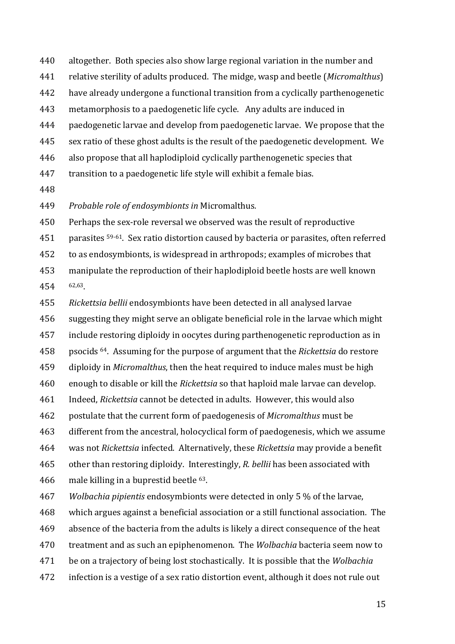- 440 altogether. Both species also show large regional variation in the number and
- 441 relative sterility of adults produced. The midge, wasp and beetle (*Micromalthus*)
- 442 have already undergone a functional transition from a cyclically parthenogenetic
- 443 metamorphosis to a paedogenetic life cycle. Any adults are induced in
- 444 paedogenetic larvae and develop from paedogenetic larvae. We propose that the
- 445 sex ratio of these ghost adults is the result of the paedogenetic development. We
- 446 also propose that all haplodiploid cyclically parthenogenetic species that
- 447 transition to a paedogenetic life style will exhibit a female bias.
- 448

449 Probable role of endosymbionts in Micromalthus.

450 Perhaps the sex-role reversal we observed was the result of reproductive

451 parasites <sup>59-61</sup>. Sex ratio distortion caused by bacteria or parasites, often referred

452 to as endosymbionts, is widespread in arthropods; examples of microbes that

453 manipulate the reproduction of their haplodiploid beetle hosts are well known 454 62,63

455 Rickettsia bellii endosymbionts have been detected in all analysed larvae 456 suggesting they might serve an obligate beneficial role in the larvae which might 457 include restoring diploidy in oocytes during parthenogenetic reproduction as in 458 psocids <sup>64</sup>. Assuming for the purpose of argument that the *Rickettsia* do restore 459 diploidy in *Micromalthus*, then the heat required to induce males must be high 460 enough to disable or kill the *Rickettsia* so that haploid male larvae can develop. 461 Indeed, *Rickettsia* cannot be detected in adults. However, this would also 462 postulate that the current form of paedogenesis of *Micromalthus* must be 463 different from the ancestral, holocyclical form of paedogenesis, which we assume 464 was not *Rickettsia* infected. Alternatively, these *Rickettsia* may provide a benefit 465 other than restoring diploidy. Interestingly, *R. bellii* has been associated with 466 male killing in a buprestid beetle  $63$ . 467 *Wolbachia pipientis* endosymbionts were detected in only 5 % of the larvae, 

- 468 which argues against a beneficial association or a still functional association. The
- 469 absence of the bacteria from the adults is likely a direct consequence of the heat
- 470 treatment and as such an epiphenomenon. The *Wolbachia* bacteria seem now to
- 471 be on a trajectory of being lost stochastically. It is possible that the *Wolbachia*
- 472 infection is a vestige of a sex ratio distortion event, although it does not rule out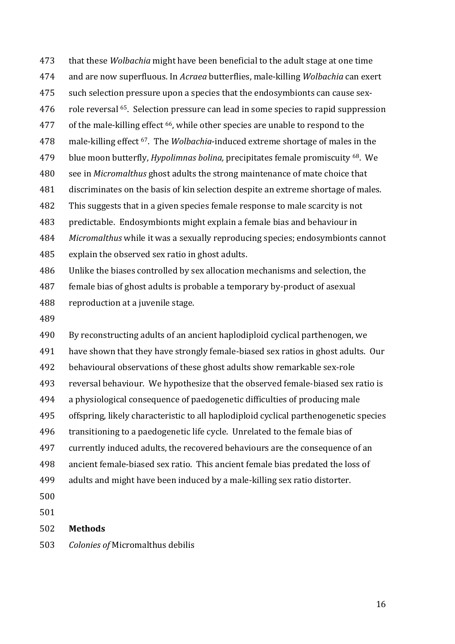473 that these *Wolbachia* might have been beneficial to the adult stage at one time 474 and are now superfluous. In *Acraea* butterflies, male-killing *Wolbachia* can exert 475 such selection pressure upon a species that the endosymbionts can cause sex-476 role reversal <sup>65</sup>. Selection pressure can lead in some species to rapid suppression  $477$  of the male-killing effect  $66$ , while other species are unable to respond to the 478 male-killing effect <sup>67</sup>. The *Wolbachia*-induced extreme shortage of males in the 479 blue moon butterfly, *Hypolimnas bolina*, precipitates female promiscuity <sup>68</sup>. We 480 see in *Micromalthus* ghost adults the strong maintenance of mate choice that 481 discriminates on the basis of kin selection despite an extreme shortage of males. 482 This suggests that in a given species female response to male scarcity is not 483 predictable. Endosymbionts might explain a female bias and behaviour in 484 *Micromalthus* while it was a sexually reproducing species; endosymbionts cannot 485 explain the observed sex ratio in ghost adults. 486 Unlike the biases controlled by sex allocation mechanisms and selection, the

487 female bias of ghost adults is probable a temporary by-product of asexual 488 reproduction at a juvenile stage.

489

490 By reconstructing adults of an ancient haplodiploid cyclical parthenogen, we 491 have shown that they have strongly female-biased sex ratios in ghost adults. Our 492 behavioural observations of these ghost adults show remarkable sex-role 493 reversal behaviour. We hypothesize that the observed female-biased sex ratio is 494 a physiological consequence of paedogenetic difficulties of producing male 495 offspring, likely characteristic to all haplodiploid cyclical parthenogenetic species 496 transitioning to a paedogenetic life cycle. Unrelated to the female bias of 497 currently induced adults, the recovered behaviours are the consequence of an 498 ancient female-biased sex ratio. This ancient female bias predated the loss of 499 adults and might have been induced by a male-killing sex ratio distorter. 500

501

# 502 **Methods**

503 *Colonies of* Micromalthus debilis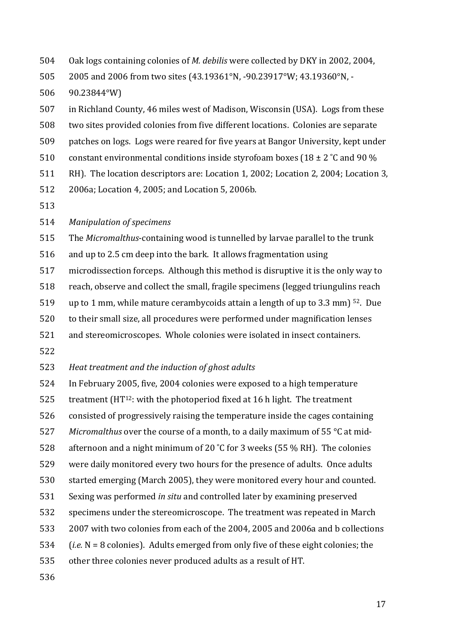504 Oak logs containing colonies of *M. debilis* were collected by DKY in 2002, 2004,

505 2005 and 2006 from two sites (43.19361°N, -90.23917°W; 43.19360°N, -

506 90.23844°W)

507 in Richland County, 46 miles west of Madison, Wisconsin (USA). Logs from these

- 508 two sites provided colonies from five different locations. Colonies are separate
- 509 patches on logs. Logs were reared for five years at Bangor University, kept under
- 510 constant environmental conditions inside styrofoam boxes (18  $\pm$  2 °C and 90 %
- 511 RH). The location descriptors are: Location 1, 2002; Location 2, 2004; Location 3,
- 512 2006a; Location 4, 2005; and Location 5, 2006b.
- 513
- 514 Manipulation of specimens

515 The *Micromalthus*-containing wood is tunnelled by larvae parallel to the trunk

516 and up to 2.5 cm deep into the bark. It allows fragmentation using

517 microdissection forceps. Although this method is disruptive it is the only way to

518 reach, observe and collect the small, fragile specimens (legged triungulins reach

519 up to 1 mm, while mature cerambycoids attain a length of up to 3.3 mm)  $52$ . Due

520 to their small size, all procedures were performed under magnification lenses

521 and stereomicroscopes. Whole colonies were isolated in insect containers.

522

523 Heat treatment and the induction of ghost adults

524 In February 2005, five, 2004 colonies were exposed to a high temperature

525 treatment  $(HT^{12}$ : with the photoperiod fixed at 16 h light. The treatment

526 consisted of progressively raising the temperature inside the cages containing

527 *Micromalthus* over the course of a month, to a daily maximum of 55 °C at mid-

528 afternoon and a night minimum of 20  $\degree$ C for 3 weeks (55 % RH). The colonies

529 were daily monitored every two hours for the presence of adults. Once adults

530 started emerging (March 2005), they were monitored every hour and counted.

- 531 Sexing was performed *in situ* and controlled later by examining preserved
- 532 specimens under the stereomicroscope. The treatment was repeated in March
- 533 2007 with two colonies from each of the 2004, 2005 and 2006a and b collections
- 534 (*i.e.*  $N = 8$  colonies). Adults emerged from only five of these eight colonies; the
- 535 other three colonies never produced adults as a result of HT.
- 536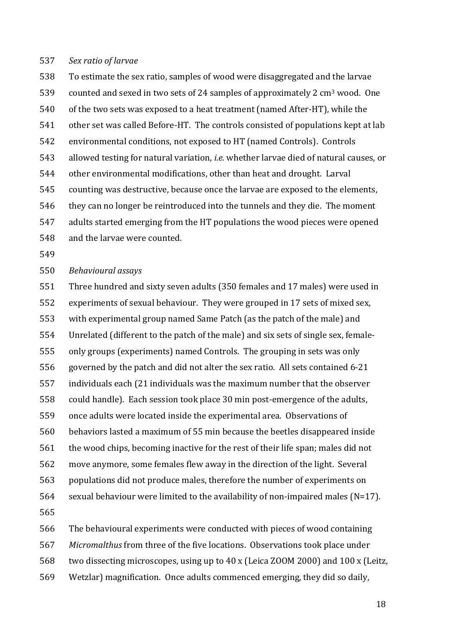#### 537 *Sex ratio of larvae*

538 To estimate the sex ratio, samples of wood were disaggregated and the larvae 539 counted and sexed in two sets of 24 samples of approximately 2  $\text{cm}^3$  wood. One 540 of the two sets was exposed to a heat treatment (named After-HT), while the 541 other set was called Before-HT. The controls consisted of populations kept at lab 542 environmental conditions, not exposed to HT (named Controls). Controls 543 allowed testing for natural variation, *i.e.* whether larvae died of natural causes, or 544 other environmental modifications, other than heat and drought. Larval 545 counting was destructive, because once the larvae are exposed to the elements, 546 they can no longer be reintroduced into the tunnels and they die. The moment 547 adults started emerging from the HT populations the wood pieces were opened 548 and the larvae were counted.

549

#### 550 *Behavioural assays*

551 Three hundred and sixty seven adults (350 females and 17 males) were used in 552 experiments of sexual behaviour. They were grouped in 17 sets of mixed sex, 553 with experimental group named Same Patch (as the patch of the male) and 554 Unrelated (different to the patch of the male) and six sets of single sex, female-555 only groups (experiments) named Controls. The grouping in sets was only 556 governed by the patch and did not alter the sex ratio. All sets contained 6-21 557 individuals each (21 individuals was the maximum number that the observer 558 could handle). Each session took place 30 min post-emergence of the adults, 559 once adults were located inside the experimental area. Observations of 560 behaviors lasted a maximum of 55 min because the beetles disappeared inside 561 the wood chips, becoming inactive for the rest of their life span; males did not 562 move anymore, some females flew away in the direction of the light. Several 563 populations did not produce males, therefore the number of experiments on 564 sexual behaviour were limited to the availability of non-impaired males (N=17). 565 566 The behavioural experiments were conducted with pieces of wood containing

- 
- 567 Micromalthus from three of the five locations. Observations took place under
- 568 two dissecting microscopes, using up to 40 x (Leica ZOOM 2000) and 100 x (Leitz,
- 569 Wetzlar) magnification. Once adults commenced emerging, they did so daily,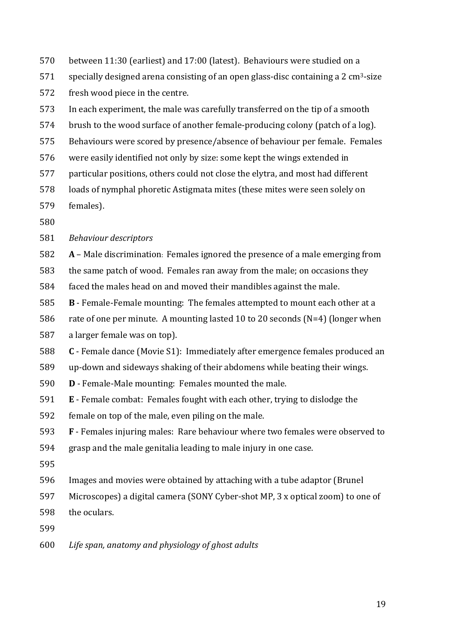- 570 between 11:30 (earliest) and 17:00 (latest). Behaviours were studied on a
- 571 specially designed arena consisting of an open glass-disc containing a 2 cm<sup>3</sup>-size 572 fresh wood piece in the centre.
- 573 In each experiment, the male was carefully transferred on the tip of a smooth
- $574$  brush to the wood surface of another female-producing colony (patch of a log).
- 575 Behaviours were scored by presence/absence of behaviour per female. Females
- 576 were easily identified not only by size: some kept the wings extended in
- 577 particular positions, others could not close the elytra, and most had different
- 578 loads of nymphal phoretic Astigmata mites (these mites were seen solely on 579 females).
- 580

# 581 Behaviour descriptors

- 582 **A** Male discrimination: Females ignored the presence of a male emerging from
- 583 the same patch of wood. Females ran away from the male; on occasions they
- 584 faced the males head on and moved their mandibles against the male.
- 585 **B** Female-Female mounting: The females attempted to mount each other at a
- 586 rate of one per minute. A mounting lasted 10 to 20 seconds  $(N=4)$  (longer when
- 587 a larger female was on top).
- 588 **C** Female dance (Movie S1): Immediately after emergence females produced an
- 589 up-down and sideways shaking of their abdomens while beating their wings.
- 590 **D** Female-Male mounting: Females mounted the male.
- 591 E Female combat: Females fought with each other, trying to dislodge the
- 592 female on top of the male, even piling on the male.
- 593 F Females injuring males: Rare behaviour where two females were observed to
- 594 grasp and the male genitalia leading to male injury in one case.
- 595
- 596 Images and movies were obtained by attaching with a tube adaptor (Brunel
- 597 Microscopes) a digital camera (SONY Cyber-shot MP, 3 x optical zoom) to one of
- 598 the oculars.
- 599
- 600 Life span, anatomy and physiology of ghost adults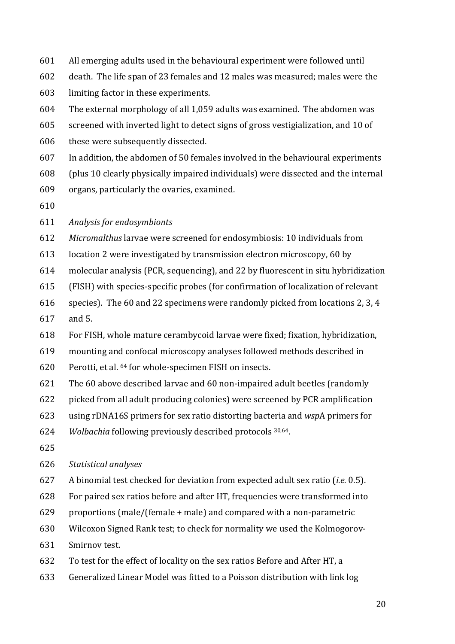- 601 All emerging adults used in the behavioural experiment were followed until
- 602 death. The life span of 23 females and 12 males was measured; males were the
- 603 limiting factor in these experiments.
- 604 The external morphology of all  $1,059$  adults was examined. The abdomen was
- 605 screened with inverted light to detect signs of gross vestigialization, and 10 of
- 606 these were subsequently dissected.
- 607 In addition, the abdomen of 50 females involved in the behavioural experiments
- 608 (plus 10 clearly physically impaired individuals) were dissected and the internal
- $609$  organs, particularly the ovaries, examined.
- 610
- 611 *Analysis for endosymbionts*
- 612 Micromalthus larvae were screened for endosymbiosis: 10 individuals from
- 613 location 2 were investigated by transmission electron microscopy, 60 by
- $614$  molecular analysis (PCR, sequencing), and 22 by fluorescent in situ hybridization
- 615 (FISH) with species-specific probes (for confirmation of localization of relevant
- 616 species). The 60 and 22 specimens were randomly picked from locations 2, 3, 4
- 617 and 5.
- 618 For FISH, whole mature cerambycoid larvae were fixed; fixation, hybridization,
- 619 mounting and confocal microscopy analyses followed methods described in
- $620$  Perotti, et al.  $64$  for whole-specimen FISH on insects.
- 621 The 60 above described larvae and 60 non-impaired adult beetles (randomly
- 622 picked from all adult producing colonies) were screened by PCR amplification
- 623 using rDNA16S primers for sex ratio distorting bacteria and *wsp*A primers for
- 624 *Wolbachia* following previously described protocols <sup>30,64</sup>.
- 625

### 626 *Statistical analyses*

- 627 A binomial test checked for deviation from expected adult sex ratio (*i.e.* 0.5).
- 628 For paired sex ratios before and after HT, frequencies were transformed into
- 629 proportions (male/(female  $+$  male) and compared with a non-parametric
- 630 Wilcoxon Signed Rank test; to check for normality we used the Kolmogorov-
- 631 Smirnov test.
- 632 To test for the effect of locality on the sex ratios Before and After HT, a
- 633 Generalized Linear Model was fitted to a Poisson distribution with link log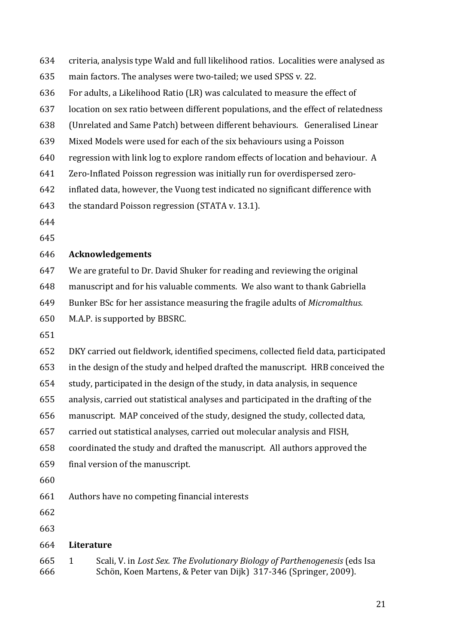| 634        | criteria, analysis type Wald and full likelihood ratios. Localities were analysed as                                                                            |  |  |  |  |
|------------|-----------------------------------------------------------------------------------------------------------------------------------------------------------------|--|--|--|--|
| 635        | main factors. The analyses were two-tailed; we used SPSS v. 22.                                                                                                 |  |  |  |  |
| 636        | For adults, a Likelihood Ratio (LR) was calculated to measure the effect of                                                                                     |  |  |  |  |
| 637        | location on sex ratio between different populations, and the effect of relatedness                                                                              |  |  |  |  |
| 638        | (Unrelated and Same Patch) between different behaviours. Generalised Linear                                                                                     |  |  |  |  |
| 639        | Mixed Models were used for each of the six behaviours using a Poisson                                                                                           |  |  |  |  |
| 640        | regression with link log to explore random effects of location and behaviour. A                                                                                 |  |  |  |  |
| 641        | Zero-Inflated Poisson regression was initially run for overdispersed zero-                                                                                      |  |  |  |  |
| 642        | inflated data, however, the Vuong test indicated no significant difference with                                                                                 |  |  |  |  |
| 643        | the standard Poisson regression (STATA v. 13.1).                                                                                                                |  |  |  |  |
| 644        |                                                                                                                                                                 |  |  |  |  |
| 645        |                                                                                                                                                                 |  |  |  |  |
| 646        | <b>Acknowledgements</b>                                                                                                                                         |  |  |  |  |
| 647        | We are grateful to Dr. David Shuker for reading and reviewing the original                                                                                      |  |  |  |  |
| 648        | manuscript and for his valuable comments. We also want to thank Gabriella                                                                                       |  |  |  |  |
| 649        | Bunker BSc for her assistance measuring the fragile adults of <i>Micromalthus</i> .                                                                             |  |  |  |  |
| 650        | M.A.P. is supported by BBSRC.                                                                                                                                   |  |  |  |  |
| 651        |                                                                                                                                                                 |  |  |  |  |
| 652        | DKY carried out fieldwork, identified specimens, collected field data, participated                                                                             |  |  |  |  |
| 653        | in the design of the study and helped drafted the manuscript. HRB conceived the                                                                                 |  |  |  |  |
| 654        | study, participated in the design of the study, in data analysis, in sequence                                                                                   |  |  |  |  |
| 655        | analysis, carried out statistical analyses and participated in the drafting of the                                                                              |  |  |  |  |
| 656        | manuscript. MAP conceived of the study, designed the study, collected data,                                                                                     |  |  |  |  |
| 657        | carried out statistical analyses, carried out molecular analysis and FISH,                                                                                      |  |  |  |  |
| 658        | coordinated the study and drafted the manuscript. All authors approved the                                                                                      |  |  |  |  |
| 659        | final version of the manuscript.                                                                                                                                |  |  |  |  |
| 660        |                                                                                                                                                                 |  |  |  |  |
| 661        | Authors have no competing financial interests                                                                                                                   |  |  |  |  |
| 662        |                                                                                                                                                                 |  |  |  |  |
| 663        |                                                                                                                                                                 |  |  |  |  |
| 664        | Literature                                                                                                                                                      |  |  |  |  |
| 665<br>666 | Scali, V. in Lost Sex. The Evolutionary Biology of Parthenogenesis (eds Isa<br>$\mathbf{1}$<br>Schön, Koen Martens, & Peter van Dijk) 317-346 (Springer, 2009). |  |  |  |  |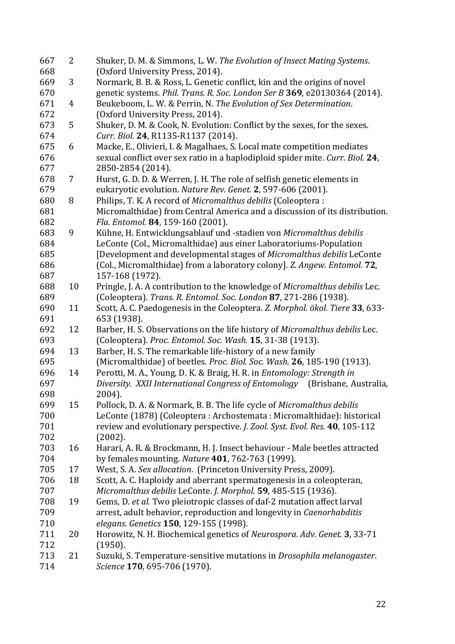| 667 | $\overline{2}$ | Shuker, D. M. & Simmons, L. W. The Evolution of Insect Mating Systems.        |
|-----|----------------|-------------------------------------------------------------------------------|
| 668 |                | (Oxford University Press, 2014).                                              |
| 669 | 3              | Normark, B. B. & Ross, L. Genetic conflict, kin and the origins of novel      |
| 670 |                | genetic systems. Phil. Trans. R. Soc. London Ser B 369, e20130364 (2014).     |
| 671 | 4              | Beukeboom, L. W. & Perrin, N. The Evolution of Sex Determination.             |
| 672 |                | (Oxford University Press, 2014).                                              |
| 673 | 5              | Shuker, D. M. & Cook, N. Evolution: Conflict by the sexes, for the sexes.     |
| 674 |                | Curr. Biol. 24, R1135-R1137 (2014).                                           |
| 675 | 6              | Macke, E., Olivieri, I. & Magalhaes, S. Local mate competition mediates       |
| 676 |                | sexual conflict over sex ratio in a haplodiploid spider mite. Curr. Biol. 24, |
| 677 |                | 2850-2854 (2014).                                                             |
| 678 | $\overline{7}$ | Hurst, G. D. D. & Werren, J. H. The role of selfish genetic elements in       |
| 679 |                | eukaryotic evolution. Nature Rev. Genet. 2, 597-606 (2001).                   |
|     |                |                                                                               |
| 680 | 8              | Philips, T. K. A record of Micromalthus debilis (Coleoptera:                  |
| 681 |                | Micromalthidae) from Central America and a discussion of its distribution.    |
| 682 |                | Fla. Entomol. 84, 159-160 (2001).                                             |
| 683 | 9              | Kühne, H. Entwicklungsablauf und -stadien von Micromalthus debilis            |
| 684 |                | LeConte (Col., Micromalthidae) aus einer Laboratoriums-Population             |
| 685 |                | [Development and developmental stages of Micromalthus debilis LeConte         |
| 686 |                | (Col., Micromalthidae) from a laboratory colony]. Z. Angew. Entomol. 72,      |
| 687 |                | 157-168 (1972).                                                               |
| 688 | 10             | Pringle, J. A. A contribution to the knowledge of Micromalthus debilis Lec.   |
| 689 |                | (Coleoptera). Trans. R. Entomol. Soc. London 87, 271-286 (1938).              |
| 690 | 11             | Scott, A. C. Paedogenesis in the Coleoptera. Z. Morphol. ökol. Tiere 33, 633- |
| 691 |                | 653 (1938).                                                                   |
| 692 | 12             | Barber, H. S. Observations on the life history of Micromalthus debilis Lec.   |
| 693 |                | (Coleoptera). Proc. Entomol. Soc. Wash. 15, 31-38 (1913).                     |
| 694 | 13             | Barber, H. S. The remarkable life-history of a new family                     |
| 695 |                | (Micromalthidae) of beetles. Proc. Biol. Soc. Wash. 26, 185-190 (1913).       |
| 696 | 14             | Perotti, M. A., Young, D. K. & Braig, H. R. in Entomology: Strength in        |
| 697 |                | Diversity. XXII International Congress of Entomology (Brisbane, Australia,    |
| 698 |                | 2004).                                                                        |
| 699 | 15             | Pollock, D. A. & Normark, B. B. The life cycle of <i>Micromalthus debilis</i> |
| 700 |                | LeConte (1878) (Coleoptera : Archostemata : Micromalthidae): historical       |
| 701 |                | review and evolutionary perspective. J. Zool. Syst. Evol. Res. 40, 105-112    |
| 702 |                | (2002).                                                                       |
| 703 | 16             | Harari, A. R. & Brockmann, H. J. Insect behaviour - Male beetles attracted    |
| 704 |                | by females mounting. Nature 401, 762-763 (1999).                              |
| 705 | 17             | West, S. A. Sex allocation. (Princeton University Press, 2009).               |
| 706 | 18             | Scott, A. C. Haploidy and aberrant spermatogenesis in a coleopteran,          |
| 707 |                | Micromalthus debilis LeConte. J. Morphol. 59, 485-515 (1936).                 |
| 708 | 19             | Gems, D. et al. Two pleiotropic classes of daf-2 mutation affect larval       |
| 709 |                | arrest, adult behavior, reproduction and longevity in Caenorhabditis          |
|     |                |                                                                               |
| 710 |                | elegans. Genetics 150, 129-155 (1998).                                        |
| 711 | 20             | Horowitz, N. H. Biochemical genetics of Neurospora. Adv. Genet. 3, 33-71      |
| 712 |                | (1950).                                                                       |
| 713 | 21             | Suzuki, S. Temperature-sensitive mutations in Drosophila melanogaster.        |
| 714 |                | Science 170, 695-706 (1970).                                                  |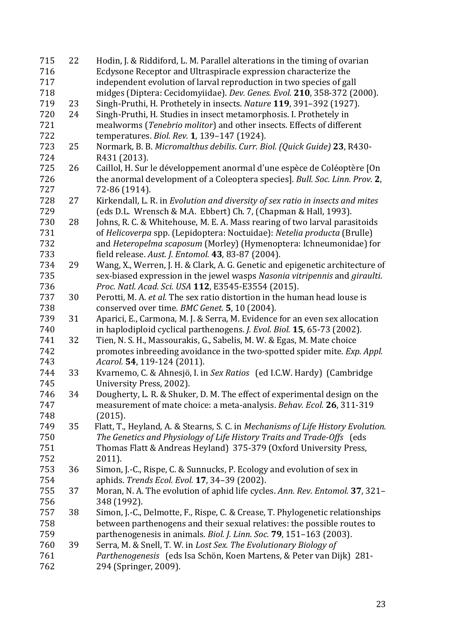| 715 | 22 | Hodin, J. & Riddiford, L. M. Parallel alterations in the timing of ovarian             |
|-----|----|----------------------------------------------------------------------------------------|
| 716 |    | Ecdysone Receptor and Ultraspiracle expression characterize the                        |
| 717 |    | independent evolution of larval reproduction in two species of gall                    |
| 718 |    | midges (Diptera: Cecidomyiidae). Dev. Genes. Evol. 210, 358-372 (2000).                |
| 719 | 23 | Singh-Pruthi, H. Prothetely in insects. Nature 119, 391-392 (1927).                    |
| 720 | 24 | Singh-Pruthi, H. Studies in insect metamorphosis. I. Prothetely in                     |
| 721 |    | mealworms (Tenebrio molitor) and other insects. Effects of different                   |
| 722 |    | temperatures. Biol. Rev. 1, 139-147 (1924).                                            |
| 723 | 25 | Normark, B. B. Micromalthus debilis. Curr. Biol. (Quick Guide) 23, R430-               |
| 724 |    | R431 (2013).                                                                           |
| 725 | 26 | Caillol, H. Sur le développement anormal d'une espèce de Coléoptère [On                |
| 726 |    | the anormal development of a Coleoptera species]. Bull. Soc. Linn. Prov. 2,            |
| 727 |    | 72-86 (1914).                                                                          |
| 728 | 27 | Kirkendall, L. R. in Evolution and diversity of sex ratio in insects and mites         |
| 729 |    | (eds D.L. Wrensch & M.A. Ebbert) Ch. 7, (Chapman & Hall, 1993).                        |
| 730 | 28 | Johns, R. C. & Whitehouse, M. E. A. Mass rearing of two larval parasitoids             |
| 731 |    | of Helicoverpa spp. (Lepidoptera: Noctuidae): Netelia producta (Brulle)                |
| 732 |    | and Heteropelma scaposum (Morley) (Hymenoptera: Ichneumonidae) for                     |
| 733 |    | field release. Aust. J. Entomol. 43, 83-87 (2004).                                     |
| 734 | 29 | Wang, X., Werren, J. H. & Clark, A. G. Genetic and epigenetic architecture of          |
| 735 |    | sex-biased expression in the jewel wasps Nasonia vitripennis and giraulti.             |
| 736 |    | Proc. Natl. Acad. Sci. USA 112, E3545-E3554 (2015).                                    |
| 737 | 30 | Perotti, M. A. et al. The sex ratio distortion in the human head louse is              |
| 738 |    | conserved over time. BMC Genet. 5, 10 (2004).                                          |
| 739 | 31 | Aparici, E., Carmona, M. J. & Serra, M. Evidence for an even sex allocation            |
| 740 |    | in haplodiploid cyclical parthenogens. <i>J. Evol. Biol.</i> <b>15</b> , 65-73 (2002). |
| 741 | 32 | Tien, N. S. H., Massourakis, G., Sabelis, M. W. & Egas, M. Mate choice                 |
| 742 |    | promotes inbreeding avoidance in the two-spotted spider mite. Exp. Appl.               |
| 743 |    | Acarol. 54, 119-124 (2011).                                                            |
| 744 | 33 | Kvarnemo, C. & Ahnesjö, I. in Sex Ratios (ed I.C.W. Hardy) (Cambridge                  |
| 745 |    | University Press, 2002).                                                               |
| 746 | 34 | Dougherty, L. R. & Shuker, D. M. The effect of experimental design on the              |
| 747 |    | measurement of mate choice: a meta-analysis. Behav. Ecol. 26, 311-319                  |
| 748 |    | (2015).                                                                                |
| 749 | 35 | Flatt, T., Heyland, A. & Stearns, S. C. in Mechanisms of Life History Evolution.       |
| 750 |    | The Genetics and Physiology of Life History Traits and Trade-Offs (eds                 |
| 751 |    | Thomas Flatt & Andreas Heyland) 375-379 (Oxford University Press,                      |
| 752 |    | 2011).                                                                                 |
| 753 | 36 | Simon, J.-C., Rispe, C. & Sunnucks, P. Ecology and evolution of sex in                 |
| 754 |    | aphids. Trends Ecol. Evol. 17, 34-39 (2002).                                           |
| 755 | 37 | Moran, N. A. The evolution of aphid life cycles. Ann. Rev. Entomol. 37, 321-           |
| 756 |    | 348 (1992).                                                                            |
| 757 | 38 | Simon, J.-C., Delmotte, F., Rispe, C. & Crease, T. Phylogenetic relationships          |
| 758 |    | between parthenogens and their sexual relatives: the possible routes to                |
| 759 |    | parthenogenesis in animals. Biol. J. Linn. Soc. 79, 151-163 (2003).                    |
| 760 | 39 | Serra, M. & Snell, T. W. in Lost Sex. The Evolutionary Biology of                      |
| 761 |    | Parthenogenesis (eds Isa Schön, Koen Martens, & Peter van Dijk) 281-                   |
| 762 |    | 294 (Springer, 2009).                                                                  |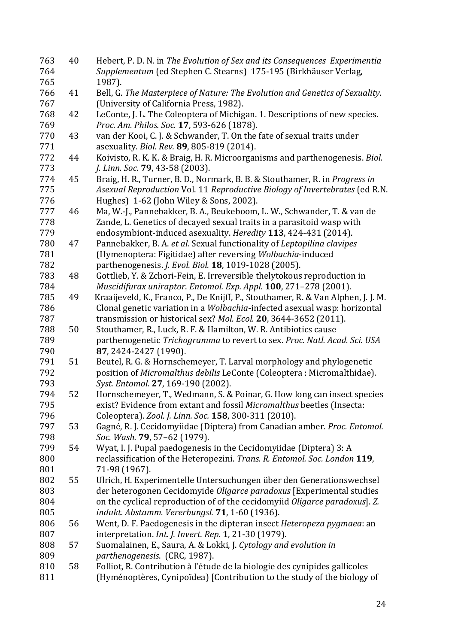| 763 | 40 | Hebert, P. D. N. in The Evolution of Sex and its Consequences Experimentia        |
|-----|----|-----------------------------------------------------------------------------------|
| 764 |    | Supplementum (ed Stephen C. Stearns) 175-195 (Birkhäuser Verlag,                  |
| 765 |    | 1987).                                                                            |
| 766 | 41 | Bell, G. The Masterpiece of Nature: The Evolution and Genetics of Sexuality.      |
| 767 |    | (University of California Press, 1982).                                           |
| 768 | 42 | LeConte, J. L. The Coleoptera of Michigan. 1. Descriptions of new species.        |
| 769 |    | Proc. Am. Philos. Soc. 17, 593-626 (1878).                                        |
| 770 | 43 | van der Kooi, C. J. & Schwander, T. On the fate of sexual traits under            |
| 771 |    | asexuality. Biol. Rev. 89, 805-819 (2014).                                        |
| 772 | 44 | Koivisto, R. K. K. & Braig, H. R. Microorganisms and parthenogenesis. Biol.       |
| 773 |    | J. Linn. Soc. 79, 43-58 (2003).                                                   |
| 774 | 45 | Braig, H. R., Turner, B. D., Normark, B. B. & Stouthamer, R. in Progress in       |
| 775 |    | Asexual Reproduction Vol. 11 Reproductive Biology of Invertebrates (ed R.N.       |
| 776 |    | Hughes) 1-62 (John Wiley & Sons, 2002).                                           |
| 777 | 46 | Ma, W.-J., Pannebakker, B. A., Beukeboom, L. W., Schwander, T. & van de           |
| 778 |    | Zande, L. Genetics of decayed sexual traits in a parasitoid wasp with             |
| 779 |    | endosymbiont-induced asexuality. Heredity 113, 424-431 (2014).                    |
| 780 | 47 | Pannebakker, B. A. et al. Sexual functionality of Leptopilina clavipes            |
| 781 |    | (Hymenoptera: Figitidae) after reversing Wolbachia-induced                        |
| 782 |    | parthenogenesis. J. Evol. Biol. 18, 1019-1028 (2005).                             |
| 783 | 48 | Gottlieb, Y. & Zchori-Fein, E. Irreversible thelytokous reproduction in           |
| 784 |    | Muscidifurax uniraptor. Entomol. Exp. Appl. 100, 271-278 (2001).                  |
| 785 | 49 | Kraaijeveld, K., Franco, P., De Knijff, P., Stouthamer, R. & Van Alphen, J. J. M. |
| 786 |    | Clonal genetic variation in a Wolbachia-infected asexual wasp: horizontal         |
| 787 |    | transmission or historical sex? Mol. Ecol. 20, 3644-3652 (2011).                  |
| 788 | 50 | Stouthamer, R., Luck, R. F. & Hamilton, W. R. Antibiotics cause                   |
| 789 |    | parthenogenetic Trichogramma to revert to sex. Proc. Natl. Acad. Sci. USA         |
| 790 |    | 87, 2424-2427 (1990).                                                             |
| 791 | 51 | Beutel, R. G. & Hornschemeyer, T. Larval morphology and phylogenetic              |
| 792 |    | position of Micromalthus debilis LeConte (Coleoptera: Micromalthidae).            |
| 793 |    | Syst. Entomol. 27, 169-190 (2002).                                                |
| 794 | 52 | Hornschemeyer, T., Wedmann, S. & Poinar, G. How long can insect species           |
| 795 |    | exist? Evidence from extant and fossil Micromalthus beetles (Insecta:             |
| 796 |    | Coleoptera). Zool. J. Linn. Soc. 158, 300-311 (2010).                             |
| 797 | 53 | Gagné, R. J. Cecidomyiidae (Diptera) from Canadian amber. Proc. Entomol.          |
| 798 |    | Soc. Wash. 79, 57-62 (1979).                                                      |
| 799 | 54 | Wyat, I. J. Pupal paedogenesis in the Cecidomyiidae (Diptera) 3: A                |
| 800 |    | reclassification of the Heteropezini. Trans. R. Entomol. Soc. London 119,         |
| 801 |    | 71-98 (1967).                                                                     |
| 802 | 55 | Ulrich, H. Experimentelle Untersuchungen über den Generationswechsel              |
| 803 |    | der heterogonen Cecidomyide Oligarce paradoxus [Experimental studies              |
| 804 |    | on the cyclical reproduction of of the cecidomyiid Oligarce paradoxus]. Z.        |
| 805 |    | indukt. Abstamm. Vererbungsl. 71, 1-60 (1936).                                    |
| 806 | 56 | Went, D. F. Paedogenesis in the dipteran insect Heteropeza pygmaea: an            |
| 807 |    | interpretation. Int. J. Invert. Rep. 1, 21-30 (1979).                             |
| 808 | 57 | Suomalainen, E., Saura, A. & Lokki, J. Cytology and evolution in                  |
| 809 |    | parthenogenesis. (CRC, 1987).                                                     |
| 810 | 58 | Folliot, R. Contribution à l'étude de la biologie des cynipides gallicoles        |
| 811 |    | (Hyménoptères, Cynipoïdea) [Contribution to the study of the biology of           |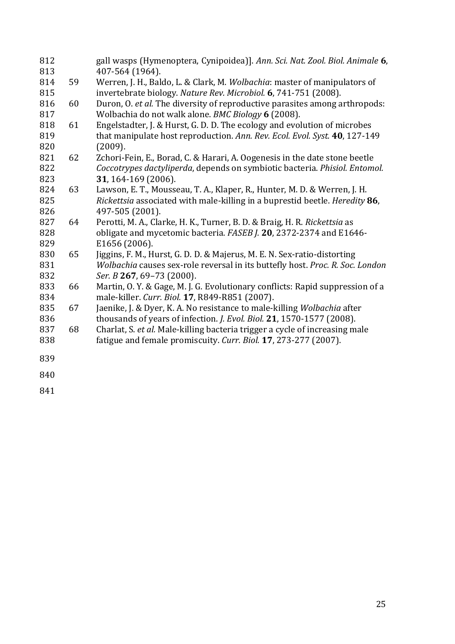| 812        |    | gall wasps (Hymenoptera, Cynipoidea)]. Ann. Sci. Nat. Zool. Biol. Animale 6,  |
|------------|----|-------------------------------------------------------------------------------|
| 813<br>814 | 59 | 407-564 (1964).                                                               |
| 815        |    | Werren, J. H., Baldo, L. & Clark, M. Wolbachia: master of manipulators of     |
|            |    | invertebrate biology. Nature Rev. Microbiol. 6, 741-751 (2008).               |
| 816        | 60 | Duron, O. et al. The diversity of reproductive parasites among arthropods:    |
| 817        |    | Wolbachia do not walk alone. BMC Biology 6 (2008).                            |
| 818        | 61 | Engelstadter, J. & Hurst, G. D. D. The ecology and evolution of microbes      |
| 819        |    | that manipulate host reproduction. Ann. Rev. Ecol. Evol. Syst. 40, 127-149    |
| 820        |    | (2009).                                                                       |
| 821        | 62 | Zchori-Fein, E., Borad, C. & Harari, A. Oogenesis in the date stone beetle    |
| 822        |    | Coccotrypes dactyliperda, depends on symbiotic bacteria. Phisiol. Entomol.    |
| 823        |    | 31, 164-169 (2006).                                                           |
| 824        | 63 | Lawson, E. T., Mousseau, T. A., Klaper, R., Hunter, M. D. & Werren, J. H.     |
| 825        |    | Rickettsia associated with male-killing in a buprestid beetle. Heredity 86,   |
| 826        |    | 497-505 (2001).                                                               |
| 827        | 64 | Perotti, M. A., Clarke, H. K., Turner, B. D. & Braig, H. R. Rickettsia as     |
| 828        |    | obligate and mycetomic bacteria. FASEB J. 20, 2372-2374 and E1646-            |
| 829        |    | E1656 (2006).                                                                 |
| 830        | 65 | Jiggins, F. M., Hurst, G. D. D. & Majerus, M. E. N. Sex-ratio-distorting      |
| 831        |    | Wolbachia causes sex-role reversal in its buttefly host. Proc. R. Soc. London |
| 832        |    | Ser. B 267, 69-73 (2000).                                                     |
| 833        | 66 | Martin, O.Y. & Gage, M.J. G. Evolutionary conflicts: Rapid suppression of a   |
| 834        |    | male-killer. Curr. Biol. 17, R849-R851 (2007).                                |
| 835        | 67 | Jaenike, J. & Dyer, K. A. No resistance to male-killing Wolbachia after       |
| 836        |    | thousands of years of infection. J. Evol. Biol. 21, 1570-1577 (2008).         |
| 837        | 68 | Charlat, S. et al. Male-killing bacteria trigger a cycle of increasing male   |
| 838        |    | fatigue and female promiscuity. Curr. Biol. 17, 273-277 (2007).               |
|            |    |                                                                               |
| 839        |    |                                                                               |
| 840        |    |                                                                               |
| 841        |    |                                                                               |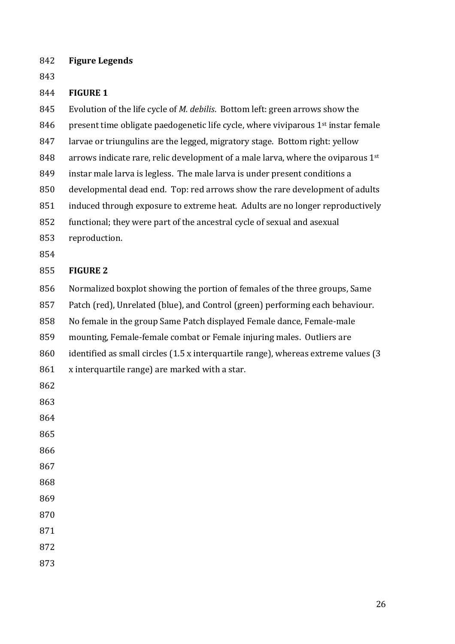**Figure Legends**

#### **FIGURE 1**

845 Evolution of the life cycle of *M. debilis*. Bottom left: green arrows show the 846 present time obligate paedogenetic life cycle, where viviparous  $1<sup>st</sup>$  instar female 847 larvae or triungulins are the legged, migratory stage. Bottom right: yellow 848 arrows indicate rare, relic development of a male larva, where the oviparous  $1^{st}$ 849 instar male larva is legless. The male larva is under present conditions a 850 developmental dead end. Top: red arrows show the rare development of adults 851 induced through exposure to extreme heat. Adults are no longer reproductively 852 functional; they were part of the ancestral cycle of sexual and asexual reproduction. 

#### **FIGURE 2**

856 Normalized boxplot showing the portion of females of the three groups, Same

857 Patch (red), Unrelated (blue), and Control (green) performing each behaviour.

858 No female in the group Same Patch displayed Female dance, Female-male

859 mounting, Female-female combat or Female injuring males. Outliers are

860 identified as small circles  $(1.5 \times \text{interquartile range})$ , whereas extreme values  $(3 \times \text{interquartile range})$ 

x interquartile range) are marked with a star.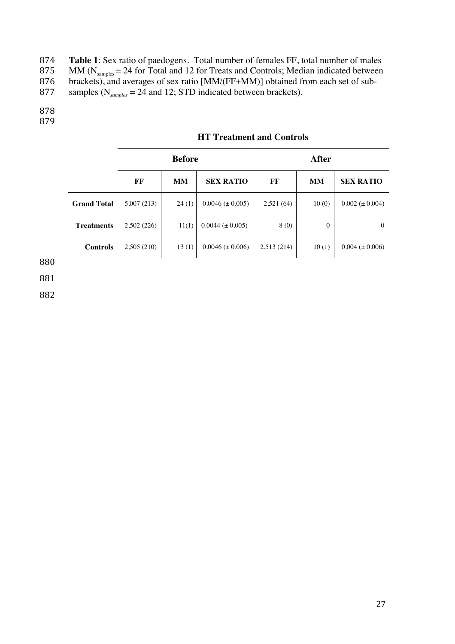874 **Table 1**: Sex ratio of paedogens. Total number of females FF, total number of males 875 MM  $(N_{\text{samples}} = 24$  for Total and 12 for Treats and Controls; Median indicated between

876 brackets), and averages of sex ratio [MM/(FF+MM)] obtained from each set of sub-

877 samples ( $N_{samples} = 24$  and 12; STD indicated between brackets).

878

879

|                    | <b>Before</b> |           | <b>After</b>           |            |              |                       |
|--------------------|---------------|-----------|------------------------|------------|--------------|-----------------------|
|                    | FF            | <b>MM</b> | <b>SEX RATIO</b>       | FF         | <b>MM</b>    | <b>SEX RATIO</b>      |
| <b>Grand Total</b> | 5,007 (213)   | 24(1)     | $0.0046 \ (\pm 0.005)$ | 2,521(64)  | 10(0)        | $0.002 \ (\pm 0.004)$ |
| <b>Treatments</b>  | 2,502(226)    | 11(1)     | $0.0044 \ (\pm 0.005)$ | 8(0)       | $\mathbf{0}$ | $\Omega$              |
| <b>Controls</b>    | 2,505(210)    | 13(1)     | $0.0046 \ (\pm 0.006)$ | 2,513(214) | 10(1)        | $0.004 (\pm 0.006)$   |
|                    |               |           |                        |            |              |                       |

## **HT Treatment and Controls**

880

881